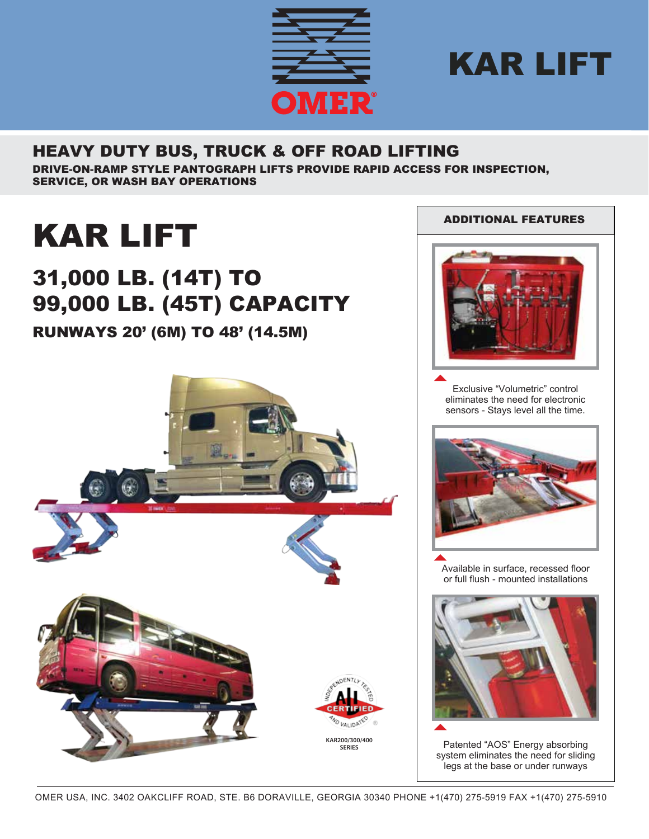



## HEAVY DUTY BUS, TRUCK & OFF ROAD LIFTING

DRIVE-ON-RAMP STYLE PANTOGRAPH LIFTS PROVIDE RAPID ACCESS FOR INSPECTION, SERVICE, OR WASH BAY OPERATIONS

# KAR LIFT

## 31,000 LB. (14T) TO 99,000 LB. (45T) CAPACITY

## RUNWAYS 20' (6M) TO 48' (14.5M)





Exclusive "Volumetric" control eliminates the need for electronic sensors - Stays level all the time.



Available in surface, recessed floor or full flush - mounted installations



Patented "AOS" Energy absorbing system eliminates the need for sliding legs at the base or under runways